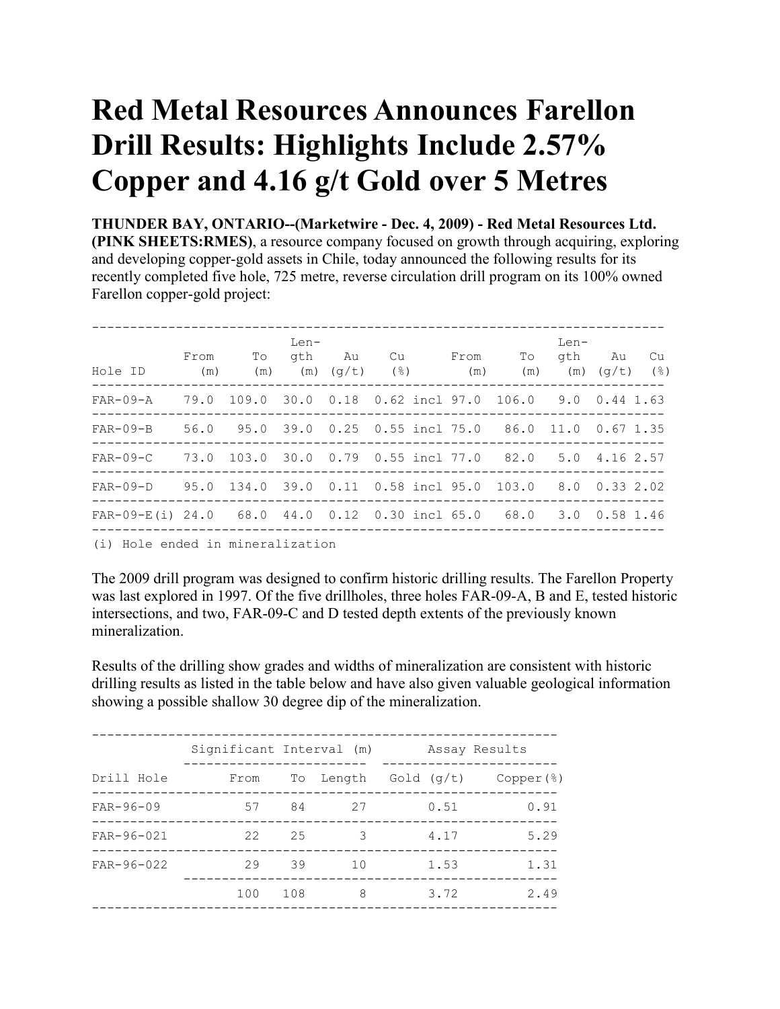## **Red Metal Resources Announces Farellon Drill Results: Highlights Include 2.57% Copper and 4.16 g/t Gold over 5 Metres**

**THUNDER BAY, ONTARIO--(Marketwire - Dec. 4, 2009) - Red Metal Resources Ltd. (PINK SHEETS:RMES)**, a resource company focused on growth through acquiring, exploring and developing copper-gold assets in Chile, today announced the following results for its recently completed five hole, 725 metre, reverse circulation drill program on its 100% owned Farellon copper-gold project:

| Hole ID                                                          | From<br>(m) | To<br>(m) | $Len-$<br>gth | Au<br>$(m)$ $(q/t)$ | Cu<br>$(\mathcal{S})$                                  | From<br>(m) | To<br>(m) | $Len-$<br>(m) | gth Au<br>Cu<br>(응)<br>(q/t) |
|------------------------------------------------------------------|-------------|-----------|---------------|---------------------|--------------------------------------------------------|-------------|-----------|---------------|------------------------------|
| $FAR-09-A$                                                       | 79.0        | 109.0     |               |                     | 30.0 0.18 0.62 incl 97.0 106.0 9.0 0.44 1.63           |             |           |               |                              |
| $FAR-09-B$                                                       |             |           |               |                     | 56.0 95.0 39.0 0.25 0.55 incl 75.0 86.0 11.0 0.67 1.35 |             |           |               |                              |
| $FAR-09-C$                                                       |             |           |               |                     | 73.0 103.0 30.0 0.79 0.55 incl 77.0 82.0 5.0 4.16 2.57 |             |           |               |                              |
| FAR-09-D 95.0 134.0 39.0 0.11 0.58 incl 95.0 103.0 8.0 0.33 2.02 |             |           |               |                     |                                                        |             |           |               |                              |
| $FAR-09-E(i)$ 24.0 68.0 44.0 0.12 0.30 incl 65.0 68.0            |             |           |               |                     |                                                        |             |           |               | 3.0 0.58 1.46                |
| (i) Hole ended in mineralization                                 |             |           |               |                     |                                                        |             |           |               |                              |

(i) Hole ended in mineralization

The 2009 drill program was designed to confirm historic drilling results. The Farellon Property was last explored in 1997. Of the five drillholes, three holes FAR-09-A, B and E, tested historic intersections, and two, FAR-09-C and D tested depth extents of the previously known mineralization.

Results of the drilling show grades and widths of mineralization are consistent with historic drilling results as listed in the table below and have also given valuable geological information showing a possible shallow 30 degree dip of the mineralization.

|                  | Significant Interval (m) |     |     | Assay Results                        |      |  |
|------------------|--------------------------|-----|-----|--------------------------------------|------|--|
| Drill Hole       | From                     |     |     | To Length $Gold (q/t)$ Copper $(\%)$ |      |  |
| $FAR - 96 - 09$  | 57                       | 84  | 2.7 | 0.51                                 | 0.91 |  |
| $FAR - 96 - 021$ | 22                       | 25  | 3   | 4.17                                 | 5.29 |  |
| FAR-96-022       | 29                       | 39  | 10  | 1.53                                 | 1.31 |  |
|                  | 100                      | 108 | 8   | 3.72                                 | 2.49 |  |